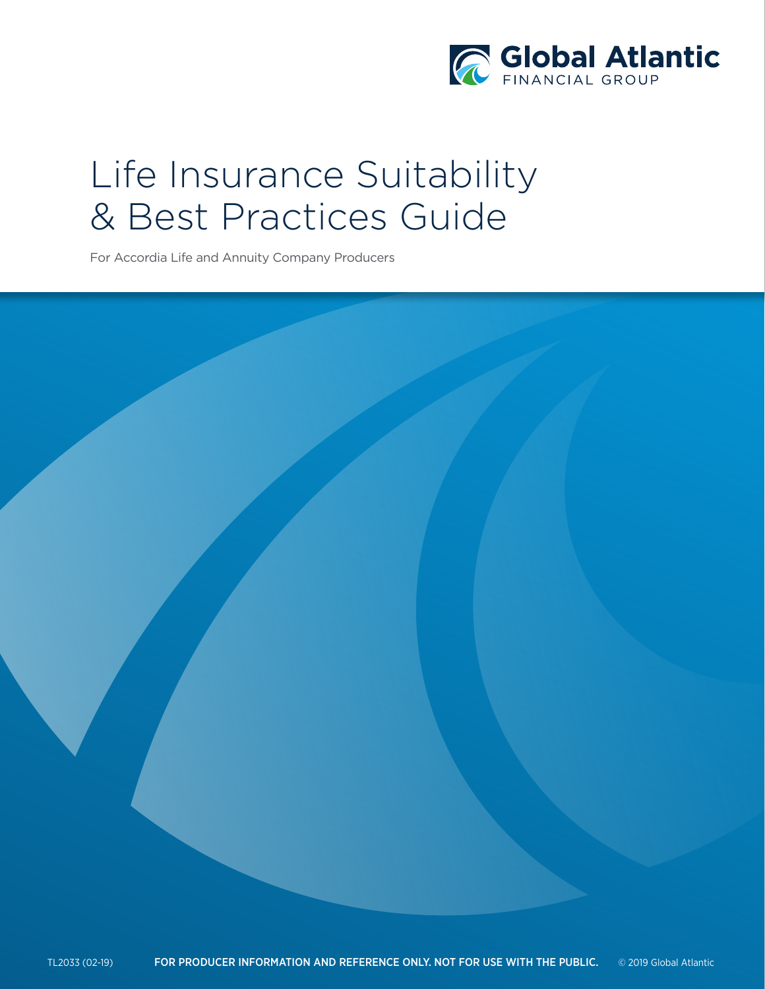

# Life Insurance Suitability & Best Practices Guide

For Accordia Life and Annuity Company Producers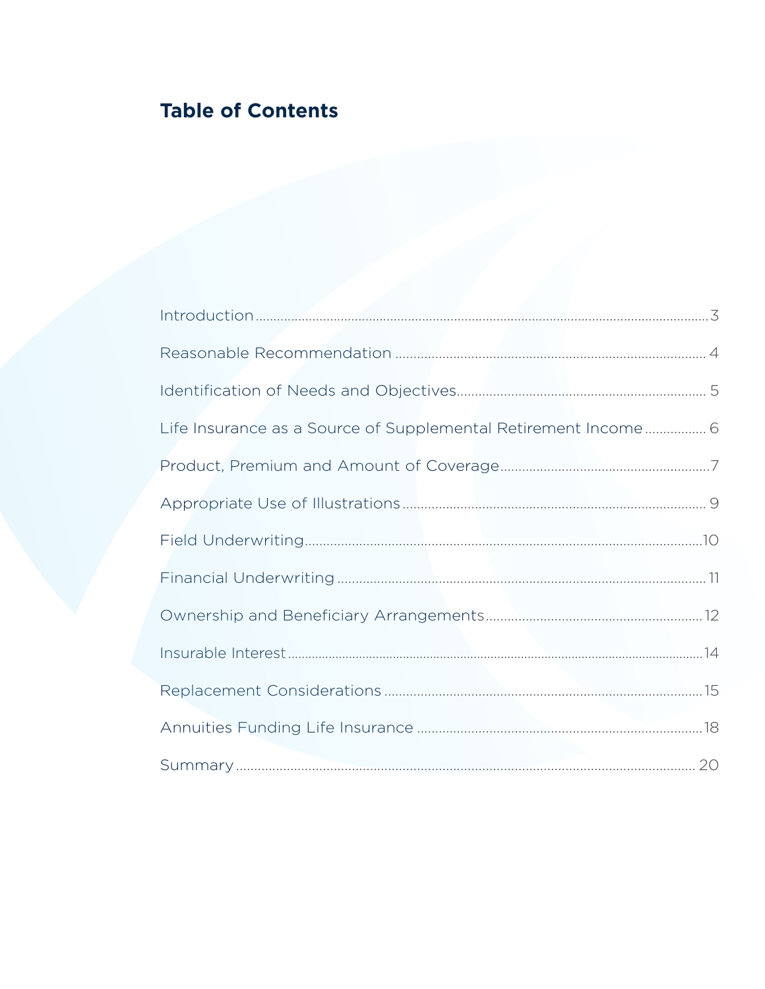# **Table of Contents**

| Life Insurance as a Source of Supplemental Retirement Income 6 |  |
|----------------------------------------------------------------|--|
|                                                                |  |
|                                                                |  |
|                                                                |  |
|                                                                |  |
|                                                                |  |
|                                                                |  |
|                                                                |  |
|                                                                |  |
|                                                                |  |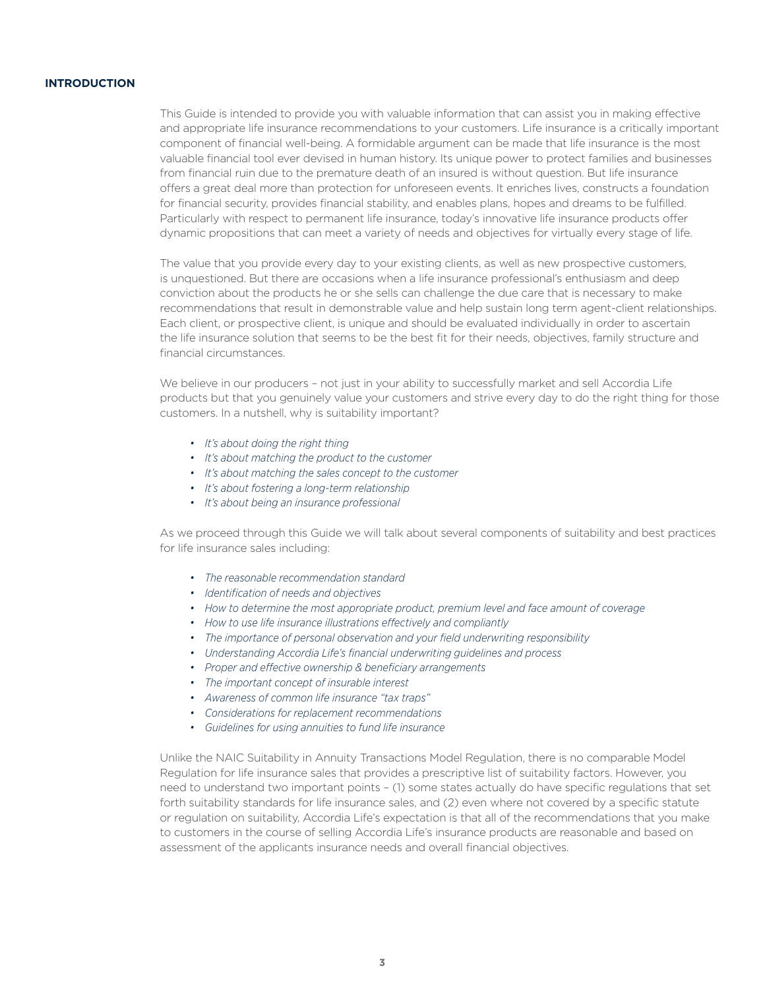# **INTRODUCTION**

This Guide is intended to provide you with valuable information that can assist you in making effective and appropriate life insurance recommendations to your customers. Life insurance is a critically important component of financial well-being. A formidable argument can be made that life insurance is the most valuable financial tool ever devised in human history. Its unique power to protect families and businesses from financial ruin due to the premature death of an insured is without question. But life insurance offers a great deal more than protection for unforeseen events. It enriches lives, constructs a foundation for financial security, provides financial stability, and enables plans, hopes and dreams to be fulfilled. Particularly with respect to permanent life insurance, today's innovative life insurance products offer dynamic propositions that can meet a variety of needs and objectives for virtually every stage of life.

The value that you provide every day to your existing clients, as well as new prospective customers, is unquestioned. But there are occasions when a life insurance professional's enthusiasm and deep conviction about the products he or she sells can challenge the due care that is necessary to make recommendations that result in demonstrable value and help sustain long term agent-client relationships. Each client, or prospective client, is unique and should be evaluated individually in order to ascertain the life insurance solution that seems to be the best fit for their needs, objectives, family structure and financial circumstances.

We believe in our producers - not just in your ability to successfully market and sell Accordia Life products but that you genuinely value your customers and strive every day to do the right thing for those customers. In a nutshell, why is suitability important?

- *• It's about doing the right thing*
- *• It's about matching the product to the customer*
- *• It's about matching the sales concept to the customer*
- *• It's about fostering a long-term relationship*
- *• It's about being an insurance professional*

As we proceed through this Guide we will talk about several components of suitability and best practices for life insurance sales including:

- *• The reasonable recommendation standard*
- *• Identification of needs and objectives*
- *• How to determine the most appropriate product, premium level and face amount of coverage*
- *• How to use life insurance illustrations effectively and compliantly*
- *• The importance of personal observation and your field underwriting responsibility*
- *• Understanding Accordia Life's financial underwriting guidelines and process*
- *• Proper and effective ownership & beneficiary arrangements*
- *• The important concept of insurable interest*
- *• Awareness of common life insurance "tax traps"*
- *• Considerations for replacement recommendations*
- *• Guidelines for using annuities to fund life insurance*

Unlike the NAIC Suitability in Annuity Transactions Model Regulation, there is no comparable Model Regulation for life insurance sales that provides a prescriptive list of suitability factors. However, you need to understand two important points – (1) some states actually do have specific regulations that set forth suitability standards for life insurance sales, and (2) even where not covered by a specific statute or regulation on suitability, Accordia Life's expectation is that all of the recommendations that you make to customers in the course of selling Accordia Life's insurance products are reasonable and based on assessment of the applicants insurance needs and overall financial objectives.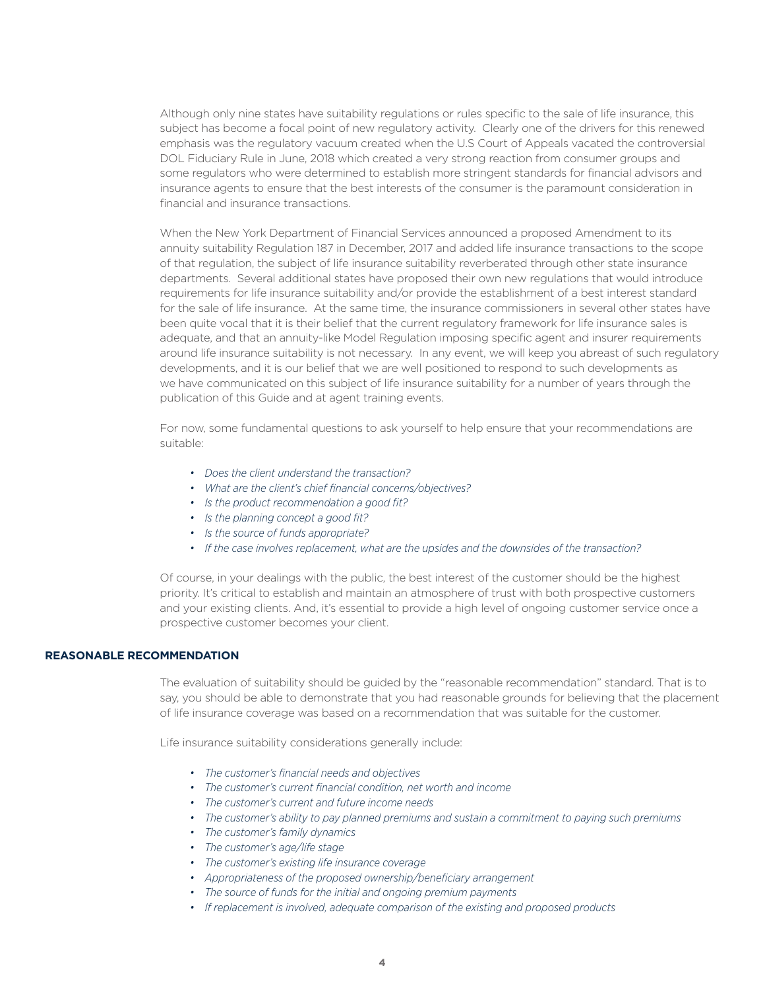Although only nine states have suitability regulations or rules specific to the sale of life insurance, this subject has become a focal point of new regulatory activity. Clearly one of the drivers for this renewed emphasis was the regulatory vacuum created when the U.S Court of Appeals vacated the controversial DOL Fiduciary Rule in June, 2018 which created a very strong reaction from consumer groups and some regulators who were determined to establish more stringent standards for financial advisors and insurance agents to ensure that the best interests of the consumer is the paramount consideration in financial and insurance transactions.

When the New York Department of Financial Services announced a proposed Amendment to its annuity suitability Regulation 187 in December, 2017 and added life insurance transactions to the scope of that regulation, the subject of life insurance suitability reverberated through other state insurance departments. Several additional states have proposed their own new regulations that would introduce requirements for life insurance suitability and/or provide the establishment of a best interest standard for the sale of life insurance. At the same time, the insurance commissioners in several other states have been quite vocal that it is their belief that the current regulatory framework for life insurance sales is adequate, and that an annuity-like Model Regulation imposing specific agent and insurer requirements around life insurance suitability is not necessary. In any event, we will keep you abreast of such regulatory developments, and it is our belief that we are well positioned to respond to such developments as we have communicated on this subject of life insurance suitability for a number of years through the publication of this Guide and at agent training events.

For now, some fundamental questions to ask yourself to help ensure that your recommendations are suitable:

- *• Does the client understand the transaction?*
- *• What are the client's chief financial concerns/objectives?*
- *• Is the product recommendation a good fit?*
- *• Is the planning concept a good fit?*
- *• Is the source of funds appropriate?*
- *• If the case involves replacement, what are the upsides and the downsides of the transaction?*

Of course, in your dealings with the public, the best interest of the customer should be the highest priority. It's critical to establish and maintain an atmosphere of trust with both prospective customers and your existing clients. And, it's essential to provide a high level of ongoing customer service once a prospective customer becomes your client.

# **REASONABLE RECOMMENDATION**

The evaluation of suitability should be guided by the "reasonable recommendation" standard. That is to say, you should be able to demonstrate that you had reasonable grounds for believing that the placement of life insurance coverage was based on a recommendation that was suitable for the customer.

Life insurance suitability considerations generally include:

- *• The customer's financial needs and objectives*
- *• The customer's current financial condition, net worth and income*
- *• The customer's current and future income needs*
- *• The customer's ability to pay planned premiums and sustain a commitment to paying such premiums*
- *• The customer's family dynamics*
- *• The customer's age/life stage*
- *• The customer's existing life insurance coverage*
- *• Appropriateness of the proposed ownership/beneficiary arrangement*
- *• The source of funds for the initial and ongoing premium payments*
- *• If replacement is involved, adequate comparison of the existing and proposed products*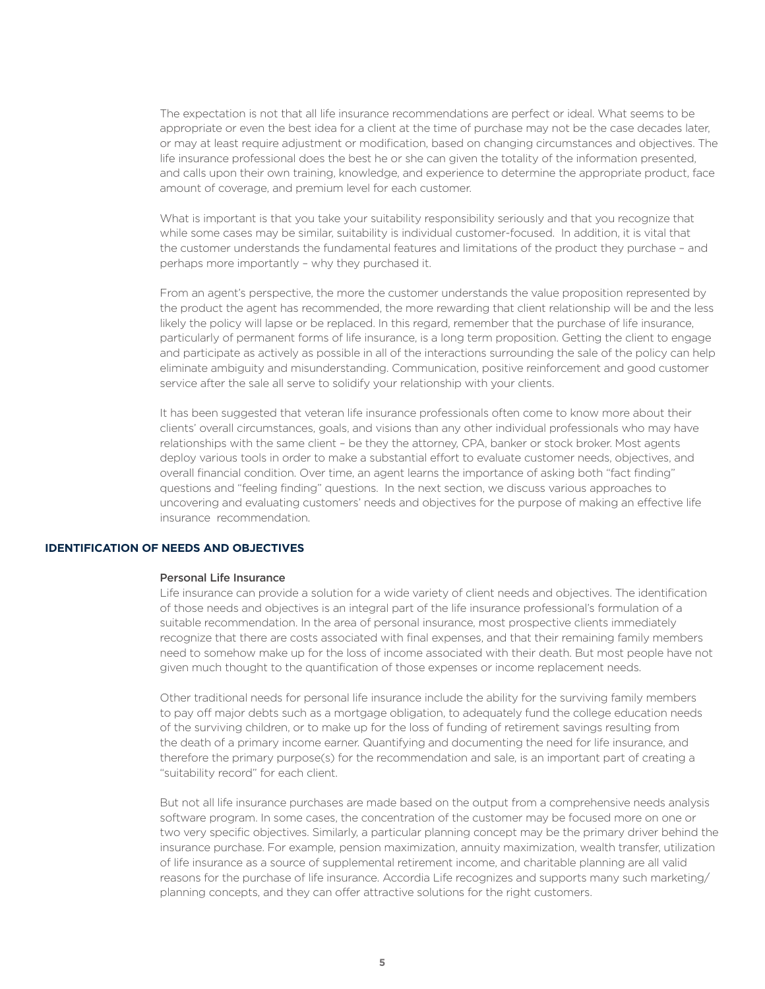The expectation is not that all life insurance recommendations are perfect or ideal. What seems to be appropriate or even the best idea for a client at the time of purchase may not be the case decades later, or may at least require adjustment or modification, based on changing circumstances and objectives. The life insurance professional does the best he or she can given the totality of the information presented, and calls upon their own training, knowledge, and experience to determine the appropriate product, face amount of coverage, and premium level for each customer.

What is important is that you take your suitability responsibility seriously and that you recognize that while some cases may be similar, suitability is individual customer-focused. In addition, it is vital that the customer understands the fundamental features and limitations of the product they purchase – and perhaps more importantly – why they purchased it.

From an agent's perspective, the more the customer understands the value proposition represented by the product the agent has recommended, the more rewarding that client relationship will be and the less likely the policy will lapse or be replaced. In this regard, remember that the purchase of life insurance, particularly of permanent forms of life insurance, is a long term proposition. Getting the client to engage and participate as actively as possible in all of the interactions surrounding the sale of the policy can help eliminate ambiguity and misunderstanding. Communication, positive reinforcement and good customer service after the sale all serve to solidify your relationship with your clients.

It has been suggested that veteran life insurance professionals often come to know more about their clients' overall circumstances, goals, and visions than any other individual professionals who may have relationships with the same client – be they the attorney, CPA, banker or stock broker. Most agents deploy various tools in order to make a substantial effort to evaluate customer needs, objectives, and overall financial condition. Over time, an agent learns the importance of asking both "fact finding" questions and "feeling finding" questions. In the next section, we discuss various approaches to uncovering and evaluating customers' needs and objectives for the purpose of making an effective life insurance recommendation.

### **IDENTIFICATION OF NEEDS AND OBJECTIVES**

### Personal Life Insurance

Life insurance can provide a solution for a wide variety of client needs and objectives. The identification of those needs and objectives is an integral part of the life insurance professional's formulation of a suitable recommendation. In the area of personal insurance, most prospective clients immediately recognize that there are costs associated with final expenses, and that their remaining family members need to somehow make up for the loss of income associated with their death. But most people have not given much thought to the quantification of those expenses or income replacement needs.

Other traditional needs for personal life insurance include the ability for the surviving family members to pay off major debts such as a mortgage obligation, to adequately fund the college education needs of the surviving children, or to make up for the loss of funding of retirement savings resulting from the death of a primary income earner. Quantifying and documenting the need for life insurance, and therefore the primary purpose(s) for the recommendation and sale, is an important part of creating a "suitability record" for each client.

But not all life insurance purchases are made based on the output from a comprehensive needs analysis software program. In some cases, the concentration of the customer may be focused more on one or two very specific objectives. Similarly, a particular planning concept may be the primary driver behind the insurance purchase. For example, pension maximization, annuity maximization, wealth transfer, utilization of life insurance as a source of supplemental retirement income, and charitable planning are all valid reasons for the purchase of life insurance. Accordia Life recognizes and supports many such marketing/ planning concepts, and they can offer attractive solutions for the right customers.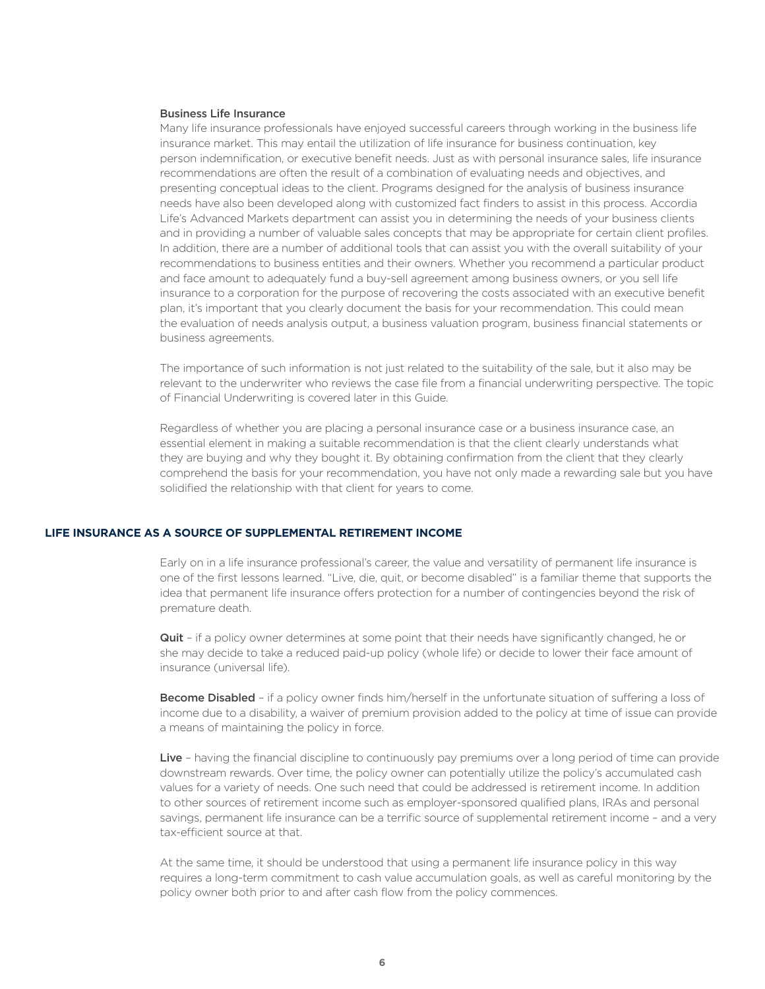### Business Life Insurance

Many life insurance professionals have enjoyed successful careers through working in the business life insurance market. This may entail the utilization of life insurance for business continuation, key person indemnification, or executive benefit needs. Just as with personal insurance sales, life insurance recommendations are often the result of a combination of evaluating needs and objectives, and presenting conceptual ideas to the client. Programs designed for the analysis of business insurance needs have also been developed along with customized fact finders to assist in this process. Accordia Life's Advanced Markets department can assist you in determining the needs of your business clients and in providing a number of valuable sales concepts that may be appropriate for certain client profiles. In addition, there are a number of additional tools that can assist you with the overall suitability of your recommendations to business entities and their owners. Whether you recommend a particular product and face amount to adequately fund a buy-sell agreement among business owners, or you sell life insurance to a corporation for the purpose of recovering the costs associated with an executive benefit plan, it's important that you clearly document the basis for your recommendation. This could mean the evaluation of needs analysis output, a business valuation program, business financial statements or business agreements.

The importance of such information is not just related to the suitability of the sale, but it also may be relevant to the underwriter who reviews the case file from a financial underwriting perspective. The topic of Financial Underwriting is covered later in this Guide.

Regardless of whether you are placing a personal insurance case or a business insurance case, an essential element in making a suitable recommendation is that the client clearly understands what they are buying and why they bought it. By obtaining confirmation from the client that they clearly comprehend the basis for your recommendation, you have not only made a rewarding sale but you have solidified the relationship with that client for years to come.

# **LIFE INSURANCE AS A SOURCE OF SUPPLEMENTAL RETIREMENT INCOME**

Early on in a life insurance professional's career, the value and versatility of permanent life insurance is one of the first lessons learned. "Live, die, quit, or become disabled" is a familiar theme that supports the idea that permanent life insurance offers protection for a number of contingencies beyond the risk of premature death.

Quit - if a policy owner determines at some point that their needs have significantly changed, he or she may decide to take a reduced paid-up policy (whole life) or decide to lower their face amount of insurance (universal life).

Become Disabled - if a policy owner finds him/herself in the unfortunate situation of suffering a loss of income due to a disability, a waiver of premium provision added to the policy at time of issue can provide a means of maintaining the policy in force.

Live - having the financial discipline to continuously pay premiums over a long period of time can provide downstream rewards. Over time, the policy owner can potentially utilize the policy's accumulated cash values for a variety of needs. One such need that could be addressed is retirement income. In addition to other sources of retirement income such as employer-sponsored qualified plans, IRAs and personal savings, permanent life insurance can be a terrific source of supplemental retirement income - and a very tax-efficient source at that.

At the same time, it should be understood that using a permanent life insurance policy in this way requires a long-term commitment to cash value accumulation goals, as well as careful monitoring by the policy owner both prior to and after cash flow from the policy commences.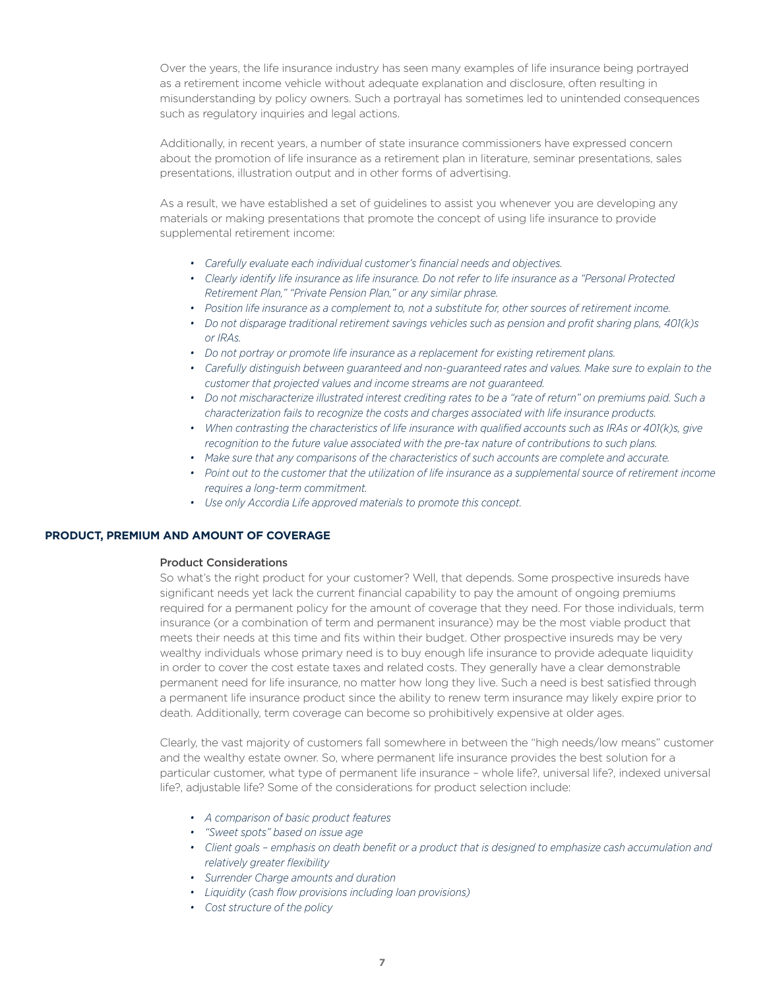Over the years, the life insurance industry has seen many examples of life insurance being portrayed as a retirement income vehicle without adequate explanation and disclosure, often resulting in misunderstanding by policy owners. Such a portrayal has sometimes led to unintended consequences such as regulatory inquiries and legal actions.

Additionally, in recent years, a number of state insurance commissioners have expressed concern about the promotion of life insurance as a retirement plan in literature, seminar presentations, sales presentations, illustration output and in other forms of advertising.

As a result, we have established a set of guidelines to assist you whenever you are developing any materials or making presentations that promote the concept of using life insurance to provide supplemental retirement income:

- *• Carefully evaluate each individual customer's financial needs and objectives.*
- *• Clearly identify life insurance as life insurance. Do not refer to life insurance as a "Personal Protected Retirement Plan," "Private Pension Plan," or any similar phrase.*
- *• Position life insurance as a complement to, not a substitute for, other sources of retirement income.*
- *• Do not disparage traditional retirement savings vehicles such as pension and profit sharing plans, 401(k)s or IRAs.*
- *• Do not portray or promote life insurance as a replacement for existing retirement plans.*
- Carefully distinguish between guaranteed and non-guaranteed rates and values. Make sure to explain to the *customer that projected values and income streams are not guaranteed.*
- *• Do not mischaracterize illustrated interest crediting rates to be a "rate of return" on premiums paid. Such a characterization fails to recognize the costs and charges associated with life insurance products.*
- *• When contrasting the characteristics of life insurance with qualified accounts such as IRAs or 401(k)s, give recognition to the future value associated with the pre-tax nature of contributions to such plans.*
- *• Make sure that any comparisons of the characteristics of such accounts are complete and accurate.*
- Point out to the customer that the utilization of life insurance as a supplemental source of retirement income *requires a long-term commitment.*
- *• Use only Accordia Life approved materials to promote this concept.*

# **PRODUCT, PREMIUM AND AMOUNT OF COVERAGE**

### Product Considerations

So what's the right product for your customer? Well, that depends. Some prospective insureds have significant needs yet lack the current financial capability to pay the amount of ongoing premiums required for a permanent policy for the amount of coverage that they need. For those individuals, term insurance (or a combination of term and permanent insurance) may be the most viable product that meets their needs at this time and fits within their budget. Other prospective insureds may be very wealthy individuals whose primary need is to buy enough life insurance to provide adequate liquidity in order to cover the cost estate taxes and related costs. They generally have a clear demonstrable permanent need for life insurance, no matter how long they live. Such a need is best satisfied through a permanent life insurance product since the ability to renew term insurance may likely expire prior to death. Additionally, term coverage can become so prohibitively expensive at older ages.

Clearly, the vast majority of customers fall somewhere in between the "high needs/low means" customer and the wealthy estate owner. So, where permanent life insurance provides the best solution for a particular customer, what type of permanent life insurance – whole life?, universal life?, indexed universal life?, adjustable life? Some of the considerations for product selection include:

- *• A comparison of basic product features*
- *• "Sweet spots" based on issue age*
- Client goals emphasis on death benefit or a product that is designed to emphasize cash accumulation and *relatively greater flexibility*
- *• Surrender Charge amounts and duration*
- *• Liquidity (cash flow provisions including loan provisions)*
- *• Cost structure of the policy*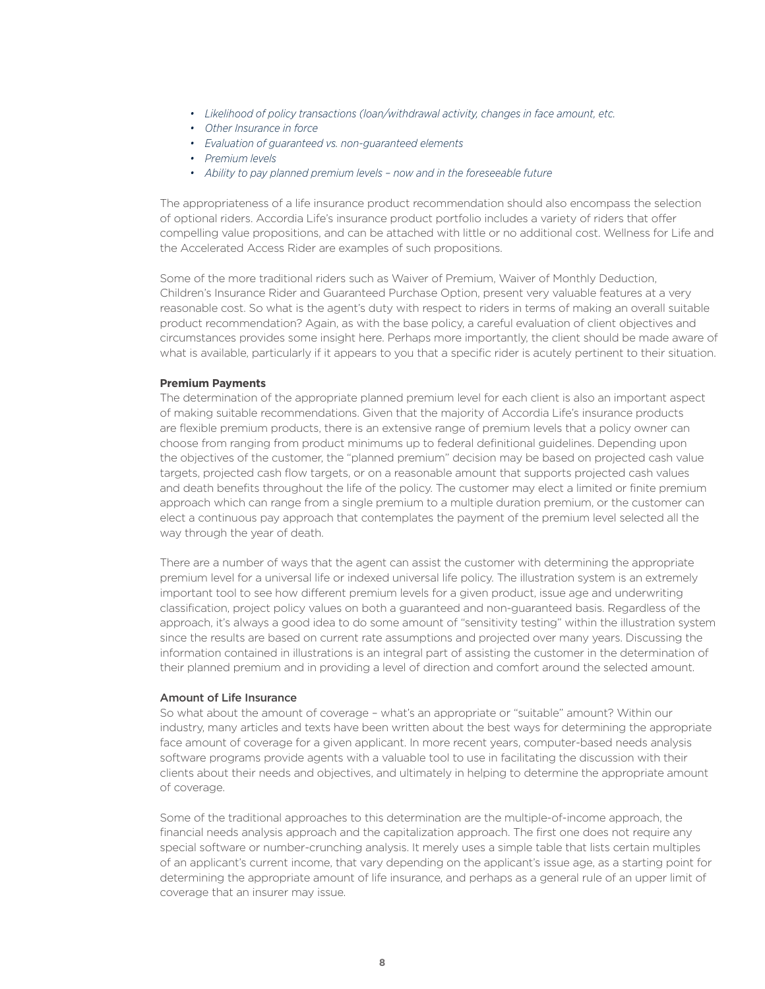- *• Likelihood of policy transactions (loan/withdrawal activity, changes in face amount, etc.*
- *• Other Insurance in force*
- *• Evaluation of guaranteed vs. non-guaranteed elements*
- *• Premium levels*
- *• Ability to pay planned premium levels now and in the foreseeable future*

The appropriateness of a life insurance product recommendation should also encompass the selection of optional riders. Accordia Life's insurance product portfolio includes a variety of riders that offer compelling value propositions, and can be attached with little or no additional cost. Wellness for Life and the Accelerated Access Rider are examples of such propositions.

Some of the more traditional riders such as Waiver of Premium, Waiver of Monthly Deduction, Children's Insurance Rider and Guaranteed Purchase Option, present very valuable features at a very reasonable cost. So what is the agent's duty with respect to riders in terms of making an overall suitable product recommendation? Again, as with the base policy, a careful evaluation of client objectives and circumstances provides some insight here. Perhaps more importantly, the client should be made aware of what is available, particularly if it appears to you that a specific rider is acutely pertinent to their situation.

#### **Premium Payments**

The determination of the appropriate planned premium level for each client is also an important aspect of making suitable recommendations. Given that the majority of Accordia Life's insurance products are flexible premium products, there is an extensive range of premium levels that a policy owner can choose from ranging from product minimums up to federal definitional guidelines. Depending upon the objectives of the customer, the "planned premium" decision may be based on projected cash value targets, projected cash flow targets, or on a reasonable amount that supports projected cash values and death benefits throughout the life of the policy. The customer may elect a limited or finite premium approach which can range from a single premium to a multiple duration premium, or the customer can elect a continuous pay approach that contemplates the payment of the premium level selected all the way through the year of death.

There are a number of ways that the agent can assist the customer with determining the appropriate premium level for a universal life or indexed universal life policy. The illustration system is an extremely important tool to see how different premium levels for a given product, issue age and underwriting classification, project policy values on both a guaranteed and non-guaranteed basis. Regardless of the approach, it's always a good idea to do some amount of "sensitivity testing" within the illustration system since the results are based on current rate assumptions and projected over many years. Discussing the information contained in illustrations is an integral part of assisting the customer in the determination of their planned premium and in providing a level of direction and comfort around the selected amount.

#### Amount of Life Insurance

So what about the amount of coverage – what's an appropriate or "suitable" amount? Within our industry, many articles and texts have been written about the best ways for determining the appropriate face amount of coverage for a given applicant. In more recent years, computer-based needs analysis software programs provide agents with a valuable tool to use in facilitating the discussion with their clients about their needs and objectives, and ultimately in helping to determine the appropriate amount of coverage.

Some of the traditional approaches to this determination are the multiple-of-income approach, the financial needs analysis approach and the capitalization approach. The first one does not require any special software or number-crunching analysis. It merely uses a simple table that lists certain multiples of an applicant's current income, that vary depending on the applicant's issue age, as a starting point for determining the appropriate amount of life insurance, and perhaps as a general rule of an upper limit of coverage that an insurer may issue.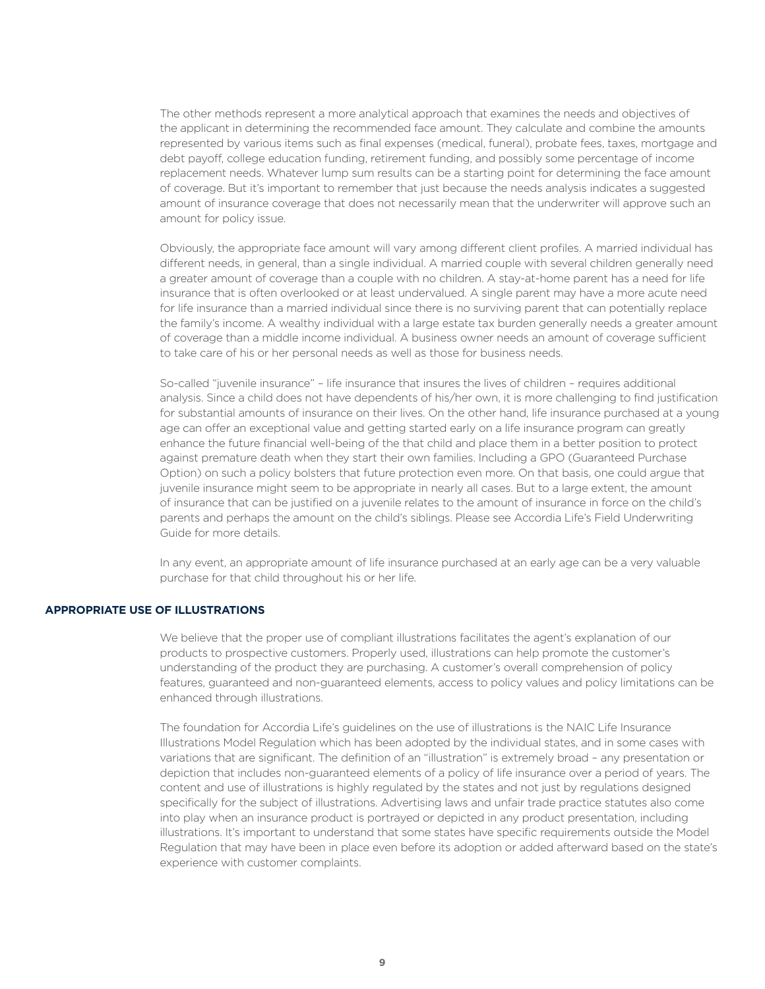The other methods represent a more analytical approach that examines the needs and objectives of the applicant in determining the recommended face amount. They calculate and combine the amounts represented by various items such as final expenses (medical, funeral), probate fees, taxes, mortgage and debt payoff, college education funding, retirement funding, and possibly some percentage of income replacement needs. Whatever lump sum results can be a starting point for determining the face amount of coverage. But it's important to remember that just because the needs analysis indicates a suggested amount of insurance coverage that does not necessarily mean that the underwriter will approve such an amount for policy issue.

Obviously, the appropriate face amount will vary among different client profiles. A married individual has different needs, in general, than a single individual. A married couple with several children generally need a greater amount of coverage than a couple with no children. A stay-at-home parent has a need for life insurance that is often overlooked or at least undervalued. A single parent may have a more acute need for life insurance than a married individual since there is no surviving parent that can potentially replace the family's income. A wealthy individual with a large estate tax burden generally needs a greater amount of coverage than a middle income individual. A business owner needs an amount of coverage sufficient to take care of his or her personal needs as well as those for business needs.

So-called "juvenile insurance" – life insurance that insures the lives of children – requires additional analysis. Since a child does not have dependents of his/her own, it is more challenging to find justification for substantial amounts of insurance on their lives. On the other hand, life insurance purchased at a young age can offer an exceptional value and getting started early on a life insurance program can greatly enhance the future financial well-being of the that child and place them in a better position to protect against premature death when they start their own families. Including a GPO (Guaranteed Purchase Option) on such a policy bolsters that future protection even more. On that basis, one could argue that juvenile insurance might seem to be appropriate in nearly all cases. But to a large extent, the amount of insurance that can be justified on a juvenile relates to the amount of insurance in force on the child's parents and perhaps the amount on the child's siblings. Please see Accordia Life's Field Underwriting Guide for more details.

In any event, an appropriate amount of life insurance purchased at an early age can be a very valuable purchase for that child throughout his or her life.

### **APPROPRIATE USE OF ILLUSTRATIONS**

We believe that the proper use of compliant illustrations facilitates the agent's explanation of our products to prospective customers. Properly used, illustrations can help promote the customer's understanding of the product they are purchasing. A customer's overall comprehension of policy features, guaranteed and non-guaranteed elements, access to policy values and policy limitations can be enhanced through illustrations.

The foundation for Accordia Life's guidelines on the use of illustrations is the NAIC Life Insurance Illustrations Model Regulation which has been adopted by the individual states, and in some cases with variations that are significant. The definition of an "illustration" is extremely broad – any presentation or depiction that includes non-guaranteed elements of a policy of life insurance over a period of years. The content and use of illustrations is highly regulated by the states and not just by regulations designed specifically for the subject of illustrations. Advertising laws and unfair trade practice statutes also come into play when an insurance product is portrayed or depicted in any product presentation, including illustrations. It's important to understand that some states have specific requirements outside the Model Regulation that may have been in place even before its adoption or added afterward based on the state's experience with customer complaints.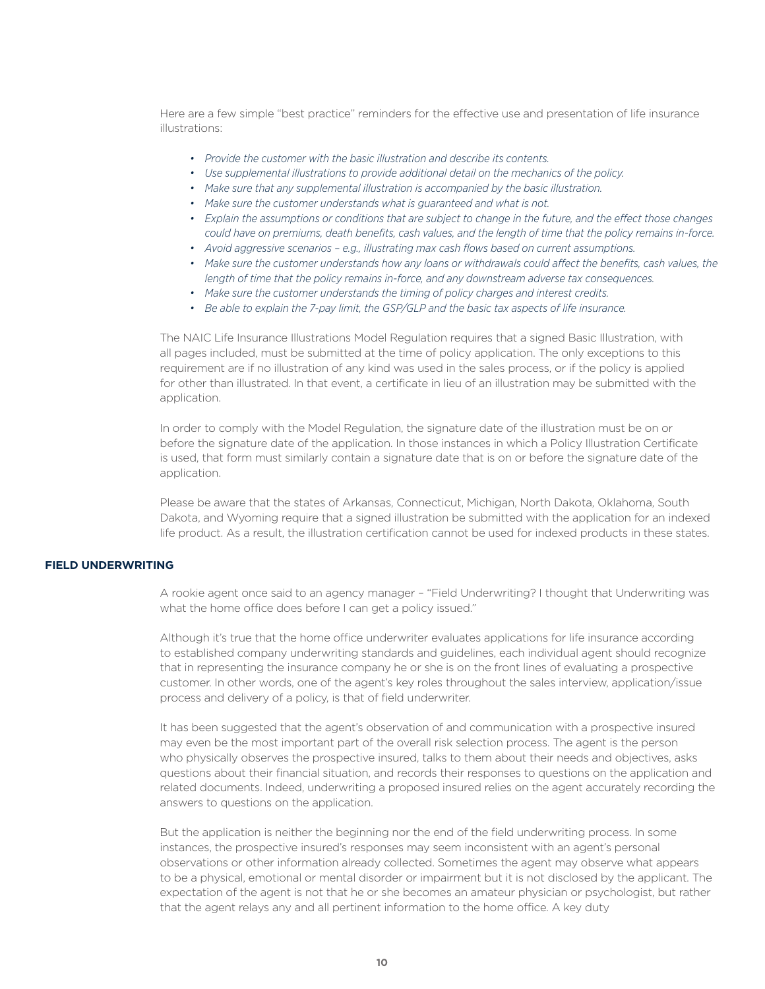Here are a few simple "best practice" reminders for the effective use and presentation of life insurance illustrations:

- *• Provide the customer with the basic illustration and describe its contents.*
- *• Use supplemental illustrations to provide additional detail on the mechanics of the policy.*
- *• Make sure that any supplemental illustration is accompanied by the basic illustration.*
- *• Make sure the customer understands what is guaranteed and what is not.*
- *• Explain the assumptions or conditions that are subject to change in the future, and the effect those changes could have on premiums, death benefits, cash values, and the length of time that the policy remains in-force.*
- *• Avoid aggressive scenarios e.g., illustrating max cash flows based on current assumptions.*
- Make sure the customer understands how any loans or withdrawals could affect the benefits, cash values, the *length of time that the policy remains in-force, and any downstream adverse tax consequences.*
- *• Make sure the customer understands the timing of policy charges and interest credits.*
- *• Be able to explain the 7-pay limit, the GSP/GLP and the basic tax aspects of life insurance.*

The NAIC Life Insurance Illustrations Model Regulation requires that a signed Basic Illustration, with all pages included, must be submitted at the time of policy application. The only exceptions to this requirement are if no illustration of any kind was used in the sales process, or if the policy is applied for other than illustrated. In that event, a certificate in lieu of an illustration may be submitted with the application.

In order to comply with the Model Regulation, the signature date of the illustration must be on or before the signature date of the application. In those instances in which a Policy Illustration Certificate is used, that form must similarly contain a signature date that is on or before the signature date of the application.

Please be aware that the states of Arkansas, Connecticut, Michigan, North Dakota, Oklahoma, South Dakota, and Wyoming require that a signed illustration be submitted with the application for an indexed life product. As a result, the illustration certification cannot be used for indexed products in these states.

# **FIELD UNDERWRITING**

A rookie agent once said to an agency manager – "Field Underwriting? I thought that Underwriting was what the home office does before I can get a policy issued."

Although it's true that the home office underwriter evaluates applications for life insurance according to established company underwriting standards and guidelines, each individual agent should recognize that in representing the insurance company he or she is on the front lines of evaluating a prospective customer. In other words, one of the agent's key roles throughout the sales interview, application/issue process and delivery of a policy, is that of field underwriter.

It has been suggested that the agent's observation of and communication with a prospective insured may even be the most important part of the overall risk selection process. The agent is the person who physically observes the prospective insured, talks to them about their needs and objectives, asks questions about their financial situation, and records their responses to questions on the application and related documents. Indeed, underwriting a proposed insured relies on the agent accurately recording the answers to questions on the application.

But the application is neither the beginning nor the end of the field underwriting process. In some instances, the prospective insured's responses may seem inconsistent with an agent's personal observations or other information already collected. Sometimes the agent may observe what appears to be a physical, emotional or mental disorder or impairment but it is not disclosed by the applicant. The expectation of the agent is not that he or she becomes an amateur physician or psychologist, but rather that the agent relays any and all pertinent information to the home office. A key duty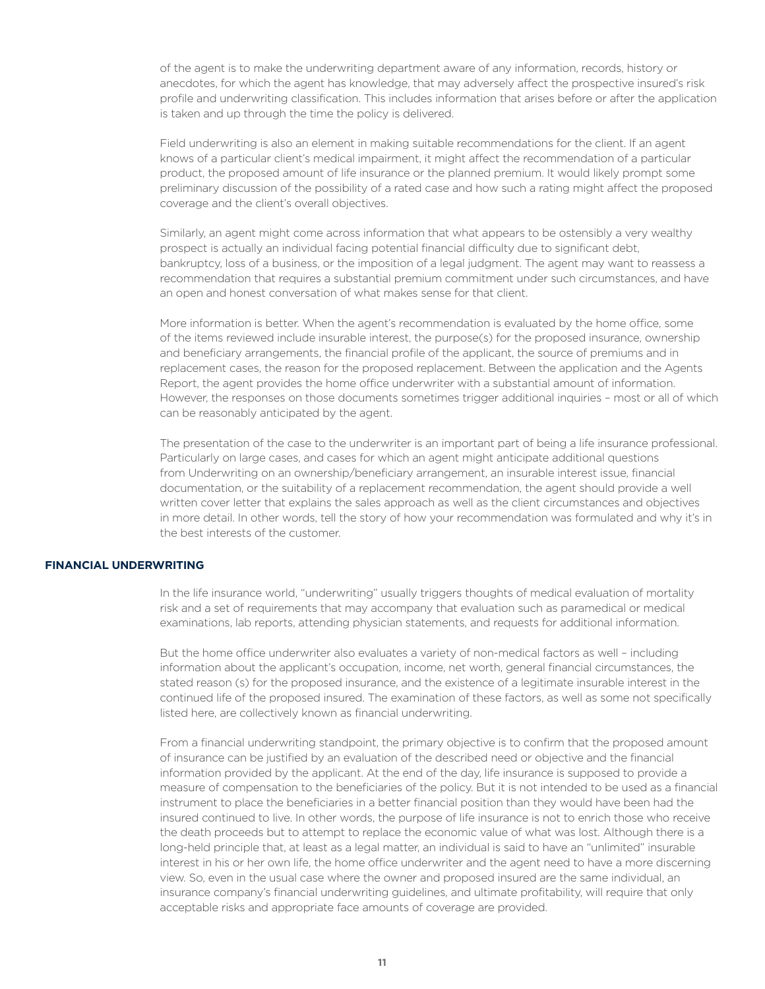of the agent is to make the underwriting department aware of any information, records, history or anecdotes, for which the agent has knowledge, that may adversely affect the prospective insured's risk profile and underwriting classification. This includes information that arises before or after the application is taken and up through the time the policy is delivered.

Field underwriting is also an element in making suitable recommendations for the client. If an agent knows of a particular client's medical impairment, it might affect the recommendation of a particular product, the proposed amount of life insurance or the planned premium. It would likely prompt some preliminary discussion of the possibility of a rated case and how such a rating might affect the proposed coverage and the client's overall objectives.

Similarly, an agent might come across information that what appears to be ostensibly a very wealthy prospect is actually an individual facing potential financial difficulty due to significant debt, bankruptcy, loss of a business, or the imposition of a legal judgment. The agent may want to reassess a recommendation that requires a substantial premium commitment under such circumstances, and have an open and honest conversation of what makes sense for that client.

More information is better. When the agent's recommendation is evaluated by the home office, some of the items reviewed include insurable interest, the purpose(s) for the proposed insurance, ownership and beneficiary arrangements, the financial profile of the applicant, the source of premiums and in replacement cases, the reason for the proposed replacement. Between the application and the Agents Report, the agent provides the home office underwriter with a substantial amount of information. However, the responses on those documents sometimes trigger additional inquiries – most or all of which can be reasonably anticipated by the agent.

The presentation of the case to the underwriter is an important part of being a life insurance professional. Particularly on large cases, and cases for which an agent might anticipate additional questions from Underwriting on an ownership/beneficiary arrangement, an insurable interest issue, financial documentation, or the suitability of a replacement recommendation, the agent should provide a well written cover letter that explains the sales approach as well as the client circumstances and objectives in more detail. In other words, tell the story of how your recommendation was formulated and why it's in the best interests of the customer.

# **FINANCIAL UNDERWRITING**

In the life insurance world, "underwriting" usually triggers thoughts of medical evaluation of mortality risk and a set of requirements that may accompany that evaluation such as paramedical or medical examinations, lab reports, attending physician statements, and requests for additional information.

But the home office underwriter also evaluates a variety of non-medical factors as well – including information about the applicant's occupation, income, net worth, general financial circumstances, the stated reason (s) for the proposed insurance, and the existence of a legitimate insurable interest in the continued life of the proposed insured. The examination of these factors, as well as some not specifically listed here, are collectively known as financial underwriting.

From a financial underwriting standpoint, the primary objective is to confirm that the proposed amount of insurance can be justified by an evaluation of the described need or objective and the financial information provided by the applicant. At the end of the day, life insurance is supposed to provide a measure of compensation to the beneficiaries of the policy. But it is not intended to be used as a financial instrument to place the beneficiaries in a better financial position than they would have been had the insured continued to live. In other words, the purpose of life insurance is not to enrich those who receive the death proceeds but to attempt to replace the economic value of what was lost. Although there is a long-held principle that, at least as a legal matter, an individual is said to have an "unlimited" insurable interest in his or her own life, the home office underwriter and the agent need to have a more discerning view. So, even in the usual case where the owner and proposed insured are the same individual, an insurance company's financial underwriting guidelines, and ultimate profitability, will require that only acceptable risks and appropriate face amounts of coverage are provided.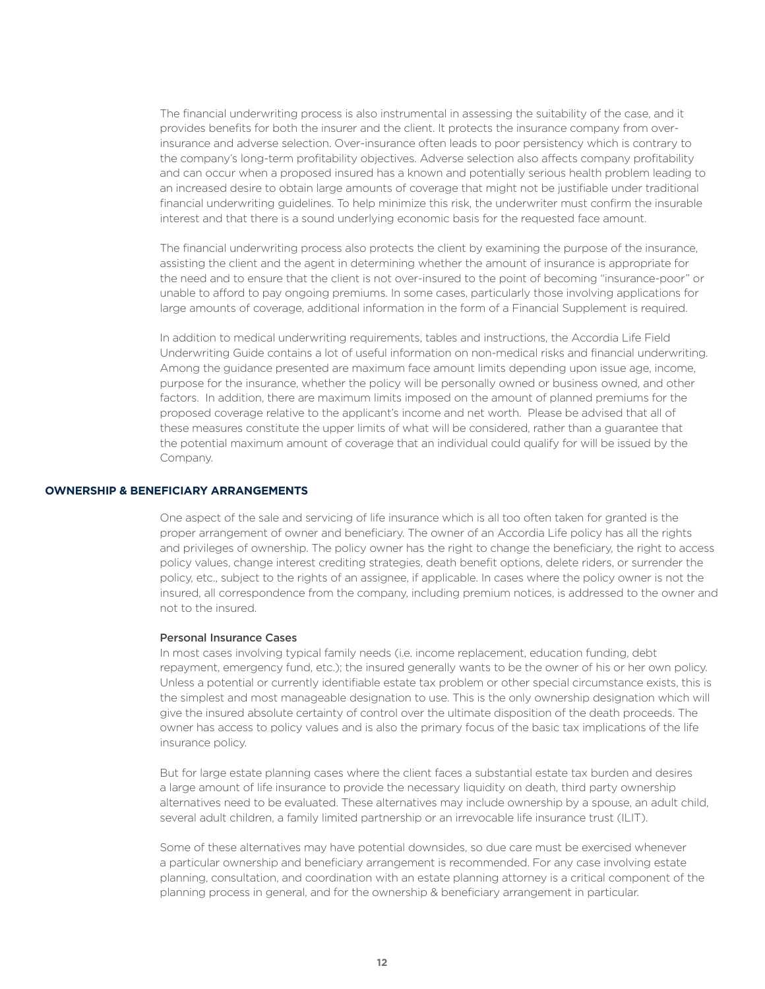The financial underwriting process is also instrumental in assessing the suitability of the case, and it provides benefits for both the insurer and the client. It protects the insurance company from overinsurance and adverse selection. Over-insurance often leads to poor persistency which is contrary to the company's long-term profitability objectives. Adverse selection also affects company profitability and can occur when a proposed insured has a known and potentially serious health problem leading to an increased desire to obtain large amounts of coverage that might not be justifiable under traditional financial underwriting guidelines. To help minimize this risk, the underwriter must confirm the insurable interest and that there is a sound underlying economic basis for the requested face amount.

The financial underwriting process also protects the client by examining the purpose of the insurance, assisting the client and the agent in determining whether the amount of insurance is appropriate for the need and to ensure that the client is not over-insured to the point of becoming "insurance-poor" or unable to afford to pay ongoing premiums. In some cases, particularly those involving applications for large amounts of coverage, additional information in the form of a Financial Supplement is required.

In addition to medical underwriting requirements, tables and instructions, the Accordia Life Field Underwriting Guide contains a lot of useful information on non-medical risks and financial underwriting. Among the guidance presented are maximum face amount limits depending upon issue age, income, purpose for the insurance, whether the policy will be personally owned or business owned, and other factors. In addition, there are maximum limits imposed on the amount of planned premiums for the proposed coverage relative to the applicant's income and net worth. Please be advised that all of these measures constitute the upper limits of what will be considered, rather than a guarantee that the potential maximum amount of coverage that an individual could qualify for will be issued by the Company.

# **OWNERSHIP & BENEFICIARY ARRANGEMENTS**

One aspect of the sale and servicing of life insurance which is all too often taken for granted is the proper arrangement of owner and beneficiary. The owner of an Accordia Life policy has all the rights and privileges of ownership. The policy owner has the right to change the beneficiary, the right to access policy values, change interest crediting strategies, death benefit options, delete riders, or surrender the policy, etc., subject to the rights of an assignee, if applicable. In cases where the policy owner is not the insured, all correspondence from the company, including premium notices, is addressed to the owner and not to the insured.

# Personal Insurance Cases

In most cases involving typical family needs (i.e. income replacement, education funding, debt repayment, emergency fund, etc.); the insured generally wants to be the owner of his or her own policy. Unless a potential or currently identifiable estate tax problem or other special circumstance exists, this is the simplest and most manageable designation to use. This is the only ownership designation which will give the insured absolute certainty of control over the ultimate disposition of the death proceeds. The owner has access to policy values and is also the primary focus of the basic tax implications of the life insurance policy.

But for large estate planning cases where the client faces a substantial estate tax burden and desires a large amount of life insurance to provide the necessary liquidity on death, third party ownership alternatives need to be evaluated. These alternatives may include ownership by a spouse, an adult child, several adult children, a family limited partnership or an irrevocable life insurance trust (ILIT).

Some of these alternatives may have potential downsides, so due care must be exercised whenever a particular ownership and beneficiary arrangement is recommended. For any case involving estate planning, consultation, and coordination with an estate planning attorney is a critical component of the planning process in general, and for the ownership & beneficiary arrangement in particular.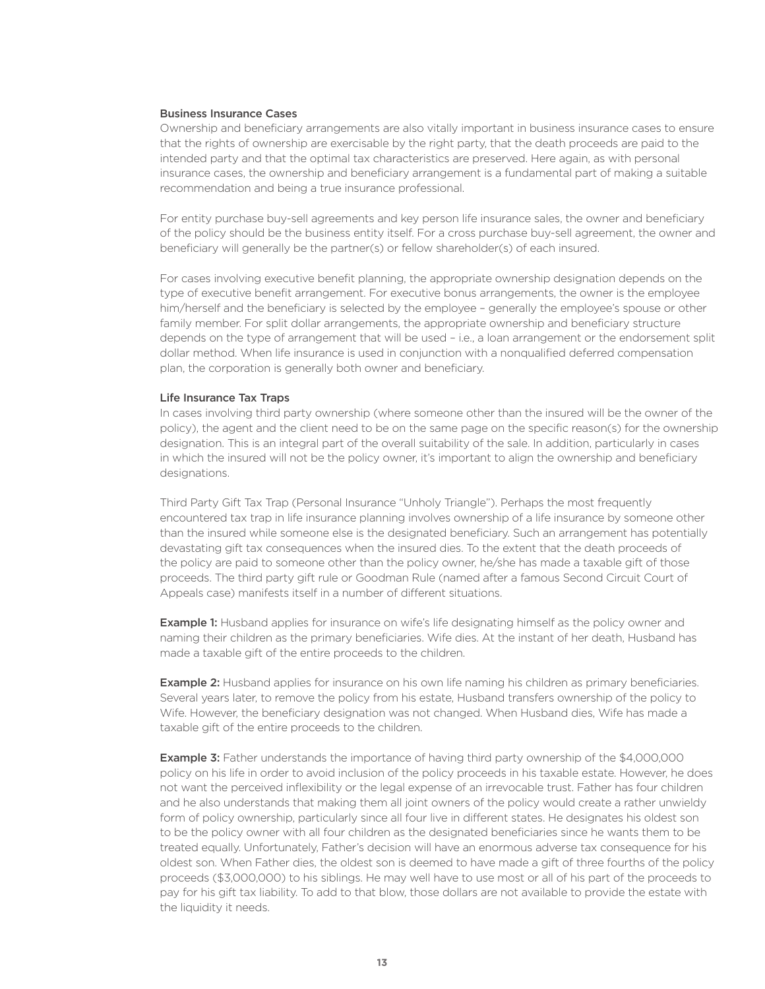### Business Insurance Cases

Ownership and beneficiary arrangements are also vitally important in business insurance cases to ensure that the rights of ownership are exercisable by the right party, that the death proceeds are paid to the intended party and that the optimal tax characteristics are preserved. Here again, as with personal insurance cases, the ownership and beneficiary arrangement is a fundamental part of making a suitable recommendation and being a true insurance professional.

For entity purchase buy-sell agreements and key person life insurance sales, the owner and beneficiary of the policy should be the business entity itself. For a cross purchase buy-sell agreement, the owner and beneficiary will generally be the partner(s) or fellow shareholder(s) of each insured.

For cases involving executive benefit planning, the appropriate ownership designation depends on the type of executive benefit arrangement. For executive bonus arrangements, the owner is the employee him/herself and the beneficiary is selected by the employee – generally the employee's spouse or other family member. For split dollar arrangements, the appropriate ownership and beneficiary structure depends on the type of arrangement that will be used – i.e., a loan arrangement or the endorsement split dollar method. When life insurance is used in conjunction with a nonqualified deferred compensation plan, the corporation is generally both owner and beneficiary.

#### Life Insurance Tax Traps

In cases involving third party ownership (where someone other than the insured will be the owner of the policy), the agent and the client need to be on the same page on the specific reason(s) for the ownership designation. This is an integral part of the overall suitability of the sale. In addition, particularly in cases in which the insured will not be the policy owner, it's important to align the ownership and beneficiary designations.

Third Party Gift Tax Trap (Personal Insurance "Unholy Triangle"). Perhaps the most frequently encountered tax trap in life insurance planning involves ownership of a life insurance by someone other than the insured while someone else is the designated beneficiary. Such an arrangement has potentially devastating gift tax consequences when the insured dies. To the extent that the death proceeds of the policy are paid to someone other than the policy owner, he/she has made a taxable gift of those proceeds. The third party gift rule or Goodman Rule (named after a famous Second Circuit Court of Appeals case) manifests itself in a number of different situations.

**Example 1:** Husband applies for insurance on wife's life designating himself as the policy owner and naming their children as the primary beneficiaries. Wife dies. At the instant of her death, Husband has made a taxable gift of the entire proceeds to the children.

**Example 2:** Husband applies for insurance on his own life naming his children as primary beneficiaries. Several years later, to remove the policy from his estate, Husband transfers ownership of the policy to Wife. However, the beneficiary designation was not changed. When Husband dies, Wife has made a taxable gift of the entire proceeds to the children.

**Example 3:** Father understands the importance of having third party ownership of the \$4,000,000 policy on his life in order to avoid inclusion of the policy proceeds in his taxable estate. However, he does not want the perceived inflexibility or the legal expense of an irrevocable trust. Father has four children and he also understands that making them all joint owners of the policy would create a rather unwieldy form of policy ownership, particularly since all four live in different states. He designates his oldest son to be the policy owner with all four children as the designated beneficiaries since he wants them to be treated equally. Unfortunately, Father's decision will have an enormous adverse tax consequence for his oldest son. When Father dies, the oldest son is deemed to have made a gift of three fourths of the policy proceeds (\$3,000,000) to his siblings. He may well have to use most or all of his part of the proceeds to pay for his gift tax liability. To add to that blow, those dollars are not available to provide the estate with the liquidity it needs.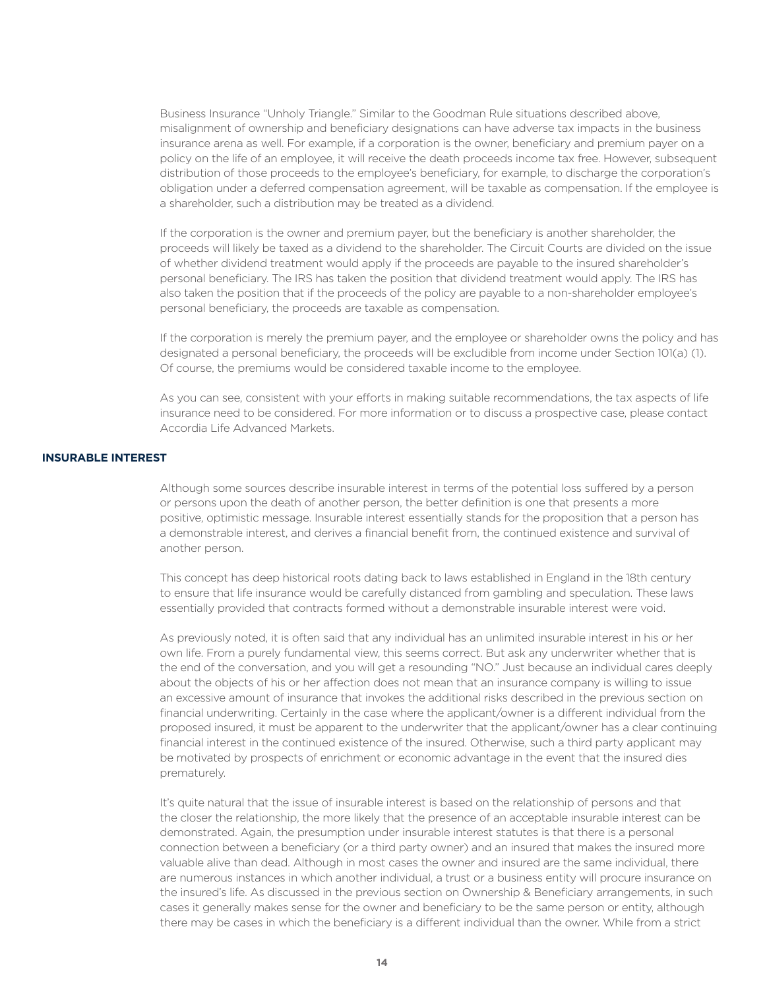Business Insurance "Unholy Triangle." Similar to the Goodman Rule situations described above, misalignment of ownership and beneficiary designations can have adverse tax impacts in the business insurance arena as well. For example, if a corporation is the owner, beneficiary and premium payer on a policy on the life of an employee, it will receive the death proceeds income tax free. However, subsequent distribution of those proceeds to the employee's beneficiary, for example, to discharge the corporation's obligation under a deferred compensation agreement, will be taxable as compensation. If the employee is a shareholder, such a distribution may be treated as a dividend.

If the corporation is the owner and premium payer, but the beneficiary is another shareholder, the proceeds will likely be taxed as a dividend to the shareholder. The Circuit Courts are divided on the issue of whether dividend treatment would apply if the proceeds are payable to the insured shareholder's personal beneficiary. The IRS has taken the position that dividend treatment would apply. The IRS has also taken the position that if the proceeds of the policy are payable to a non-shareholder employee's personal beneficiary, the proceeds are taxable as compensation.

If the corporation is merely the premium payer, and the employee or shareholder owns the policy and has designated a personal beneficiary, the proceeds will be excludible from income under Section 101(a) (1). Of course, the premiums would be considered taxable income to the employee.

As you can see, consistent with your efforts in making suitable recommendations, the tax aspects of life insurance need to be considered. For more information or to discuss a prospective case, please contact Accordia Life Advanced Markets.

# **INSURABLE INTEREST**

Although some sources describe insurable interest in terms of the potential loss suffered by a person or persons upon the death of another person, the better definition is one that presents a more positive, optimistic message. Insurable interest essentially stands for the proposition that a person has a demonstrable interest, and derives a financial benefit from, the continued existence and survival of another person.

This concept has deep historical roots dating back to laws established in England in the 18th century to ensure that life insurance would be carefully distanced from gambling and speculation. These laws essentially provided that contracts formed without a demonstrable insurable interest were void.

As previously noted, it is often said that any individual has an unlimited insurable interest in his or her own life. From a purely fundamental view, this seems correct. But ask any underwriter whether that is the end of the conversation, and you will get a resounding "NO." Just because an individual cares deeply about the objects of his or her affection does not mean that an insurance company is willing to issue an excessive amount of insurance that invokes the additional risks described in the previous section on financial underwriting. Certainly in the case where the applicant/owner is a different individual from the proposed insured, it must be apparent to the underwriter that the applicant/owner has a clear continuing financial interest in the continued existence of the insured. Otherwise, such a third party applicant may be motivated by prospects of enrichment or economic advantage in the event that the insured dies prematurely.

It's quite natural that the issue of insurable interest is based on the relationship of persons and that the closer the relationship, the more likely that the presence of an acceptable insurable interest can be demonstrated. Again, the presumption under insurable interest statutes is that there is a personal connection between a beneficiary (or a third party owner) and an insured that makes the insured more valuable alive than dead. Although in most cases the owner and insured are the same individual, there are numerous instances in which another individual, a trust or a business entity will procure insurance on the insured's life. As discussed in the previous section on Ownership & Beneficiary arrangements, in such cases it generally makes sense for the owner and beneficiary to be the same person or entity, although there may be cases in which the beneficiary is a different individual than the owner. While from a strict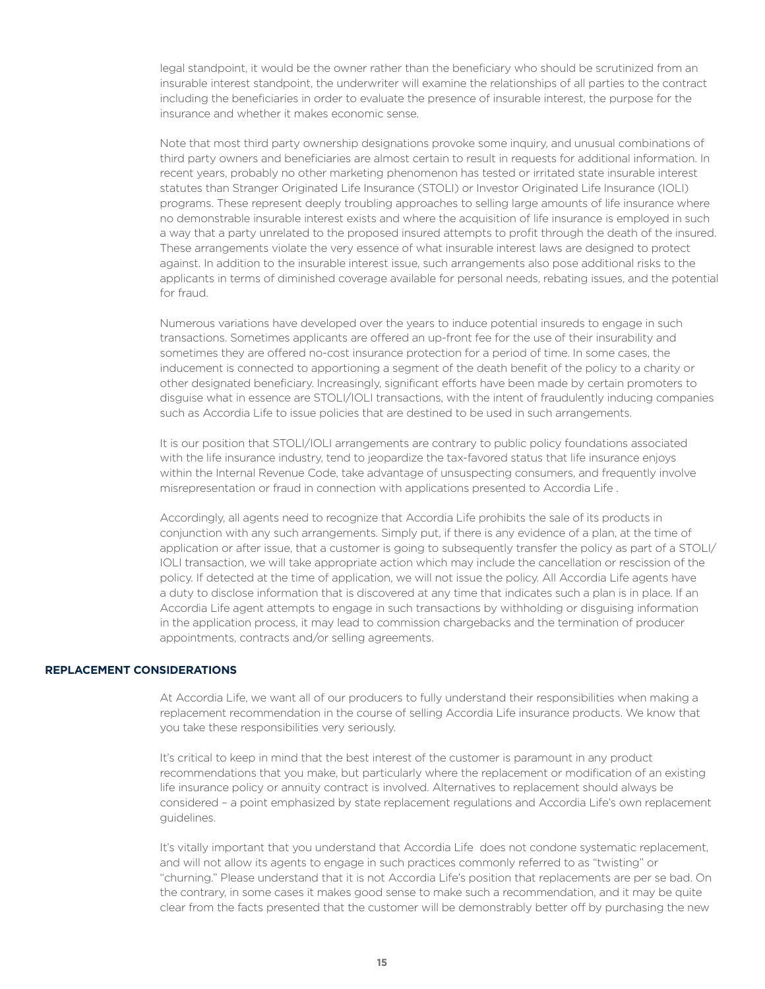legal standpoint, it would be the owner rather than the beneficiary who should be scrutinized from an insurable interest standpoint, the underwriter will examine the relationships of all parties to the contract including the beneficiaries in order to evaluate the presence of insurable interest, the purpose for the insurance and whether it makes economic sense.

Note that most third party ownership designations provoke some inquiry, and unusual combinations of third party owners and beneficiaries are almost certain to result in requests for additional information. In recent years, probably no other marketing phenomenon has tested or irritated state insurable interest statutes than Stranger Originated Life Insurance (STOLI) or Investor Originated Life Insurance (IOLI) programs. These represent deeply troubling approaches to selling large amounts of life insurance where no demonstrable insurable interest exists and where the acquisition of life insurance is employed in such a way that a party unrelated to the proposed insured attempts to profit through the death of the insured. These arrangements violate the very essence of what insurable interest laws are designed to protect against. In addition to the insurable interest issue, such arrangements also pose additional risks to the applicants in terms of diminished coverage available for personal needs, rebating issues, and the potential for fraud.

Numerous variations have developed over the years to induce potential insureds to engage in such transactions. Sometimes applicants are offered an up-front fee for the use of their insurability and sometimes they are offered no-cost insurance protection for a period of time. In some cases, the inducement is connected to apportioning a segment of the death benefit of the policy to a charity or other designated beneficiary. Increasingly, significant efforts have been made by certain promoters to disguise what in essence are STOLI/IOLI transactions, with the intent of fraudulently inducing companies such as Accordia Life to issue policies that are destined to be used in such arrangements.

It is our position that STOLI/IOLI arrangements are contrary to public policy foundations associated with the life insurance industry, tend to jeopardize the tax-favored status that life insurance enjoys within the Internal Revenue Code, take advantage of unsuspecting consumers, and frequently involve misrepresentation or fraud in connection with applications presented to Accordia Life .

Accordingly, all agents need to recognize that Accordia Life prohibits the sale of its products in conjunction with any such arrangements. Simply put, if there is any evidence of a plan, at the time of application or after issue, that a customer is going to subsequently transfer the policy as part of a STOLI/ IOLI transaction, we will take appropriate action which may include the cancellation or rescission of the policy. If detected at the time of application, we will not issue the policy. All Accordia Life agents have a duty to disclose information that is discovered at any time that indicates such a plan is in place. If an Accordia Life agent attempts to engage in such transactions by withholding or disguising information in the application process, it may lead to commission chargebacks and the termination of producer appointments, contracts and/or selling agreements.

### **REPLACEMENT CONSIDERATIONS**

At Accordia Life, we want all of our producers to fully understand their responsibilities when making a replacement recommendation in the course of selling Accordia Life insurance products. We know that you take these responsibilities very seriously.

It's critical to keep in mind that the best interest of the customer is paramount in any product recommendations that you make, but particularly where the replacement or modification of an existing life insurance policy or annuity contract is involved. Alternatives to replacement should always be considered – a point emphasized by state replacement regulations and Accordia Life's own replacement guidelines.

It's vitally important that you understand that Accordia Life does not condone systematic replacement, and will not allow its agents to engage in such practices commonly referred to as "twisting" or "churning." Please understand that it is not Accordia Life's position that replacements are per se bad. On the contrary, in some cases it makes good sense to make such a recommendation, and it may be quite clear from the facts presented that the customer will be demonstrably better off by purchasing the new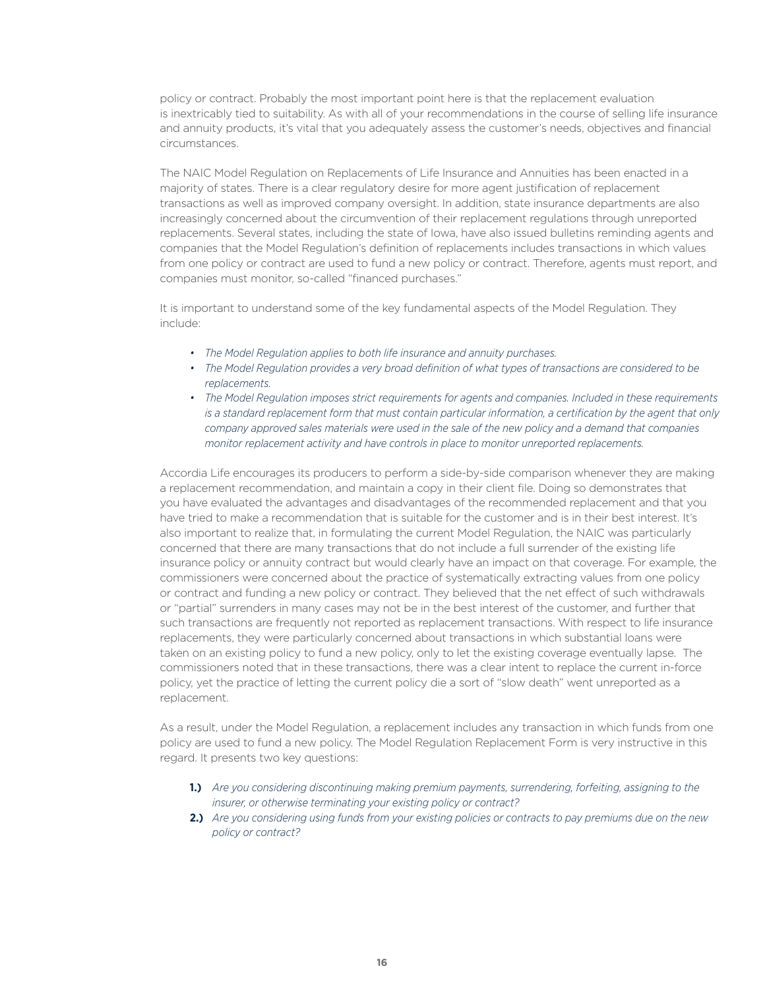policy or contract. Probably the most important point here is that the replacement evaluation is inextricably tied to suitability. As with all of your recommendations in the course of selling life insurance and annuity products, it's vital that you adequately assess the customer's needs, objectives and financial circumstances.

The NAIC Model Regulation on Replacements of Life Insurance and Annuities has been enacted in a majority of states. There is a clear regulatory desire for more agent justification of replacement transactions as well as improved company oversight. In addition, state insurance departments are also increasingly concerned about the circumvention of their replacement regulations through unreported replacements. Several states, including the state of Iowa, have also issued bulletins reminding agents and companies that the Model Regulation's definition of replacements includes transactions in which values from one policy or contract are used to fund a new policy or contract. Therefore, agents must report, and companies must monitor, so-called "financed purchases."

It is important to understand some of the key fundamental aspects of the Model Regulation. They include:

- *• The Model Regulation applies to both life insurance and annuity purchases.*
- *• The Model Regulation provides a very broad definition of what types of transactions are considered to be replacements.*
- *• The Model Regulation imposes strict requirements for agents and companies. Included in these requirements is a standard replacement form that must contain particular information, a certification by the agent that only company approved sales materials were used in the sale of the new policy and a demand that companies monitor replacement activity and have controls in place to monitor unreported replacements.*

Accordia Life encourages its producers to perform a side-by-side comparison whenever they are making a replacement recommendation, and maintain a copy in their client file. Doing so demonstrates that you have evaluated the advantages and disadvantages of the recommended replacement and that you have tried to make a recommendation that is suitable for the customer and is in their best interest. It's also important to realize that, in formulating the current Model Regulation, the NAIC was particularly concerned that there are many transactions that do not include a full surrender of the existing life insurance policy or annuity contract but would clearly have an impact on that coverage. For example, the commissioners were concerned about the practice of systematically extracting values from one policy or contract and funding a new policy or contract. They believed that the net effect of such withdrawals or "partial" surrenders in many cases may not be in the best interest of the customer, and further that such transactions are frequently not reported as replacement transactions. With respect to life insurance replacements, they were particularly concerned about transactions in which substantial loans were taken on an existing policy to fund a new policy, only to let the existing coverage eventually lapse. The commissioners noted that in these transactions, there was a clear intent to replace the current in-force policy, yet the practice of letting the current policy die a sort of "slow death" went unreported as a replacement.

As a result, under the Model Regulation, a replacement includes any transaction in which funds from one policy are used to fund a new policy. The Model Regulation Replacement Form is very instructive in this regard. It presents two key questions:

- **1.)** *Are you considering discontinuing making premium payments, surrendering, forfeiting, assigning to the insurer, or otherwise terminating your existing policy or contract?*
- **2.)** *Are you considering using funds from your existing policies or contracts to pay premiums due on the new policy or contract?*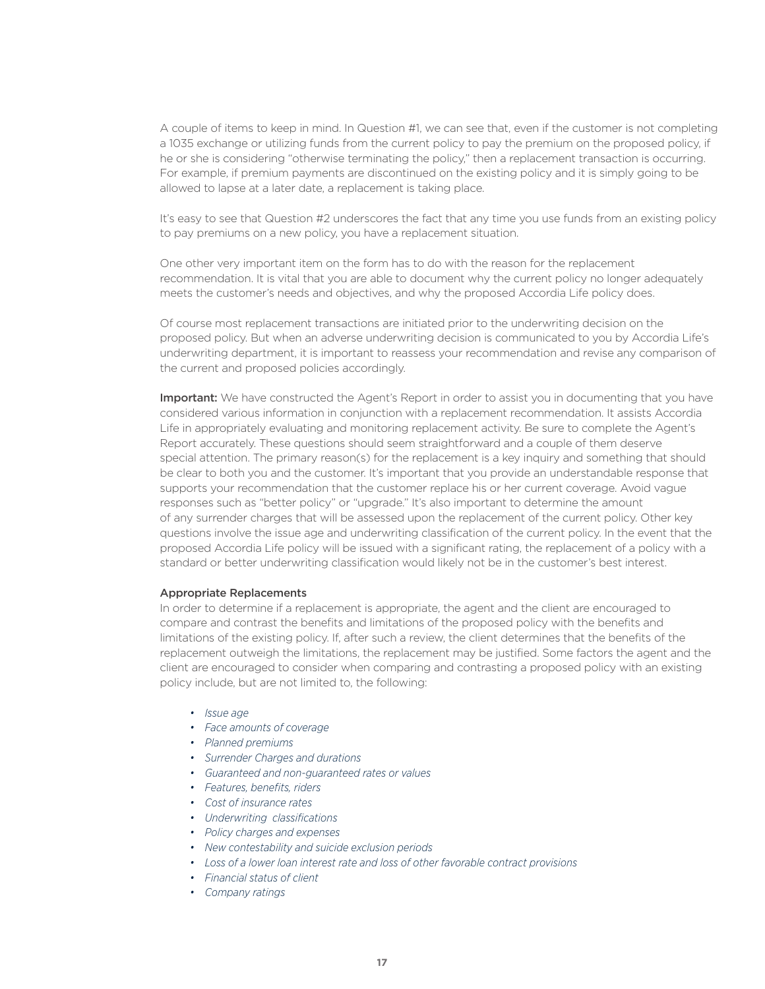A couple of items to keep in mind. In Question #1, we can see that, even if the customer is not completing a 1035 exchange or utilizing funds from the current policy to pay the premium on the proposed policy, if he or she is considering "otherwise terminating the policy," then a replacement transaction is occurring. For example, if premium payments are discontinued on the existing policy and it is simply going to be allowed to lapse at a later date, a replacement is taking place.

It's easy to see that Question #2 underscores the fact that any time you use funds from an existing policy to pay premiums on a new policy, you have a replacement situation.

One other very important item on the form has to do with the reason for the replacement recommendation. It is vital that you are able to document why the current policy no longer adequately meets the customer's needs and objectives, and why the proposed Accordia Life policy does.

Of course most replacement transactions are initiated prior to the underwriting decision on the proposed policy. But when an adverse underwriting decision is communicated to you by Accordia Life's underwriting department, it is important to reassess your recommendation and revise any comparison of the current and proposed policies accordingly.

Important: We have constructed the Agent's Report in order to assist you in documenting that you have considered various information in conjunction with a replacement recommendation. It assists Accordia Life in appropriately evaluating and monitoring replacement activity. Be sure to complete the Agent's Report accurately. These questions should seem straightforward and a couple of them deserve special attention. The primary reason(s) for the replacement is a key inquiry and something that should be clear to both you and the customer. It's important that you provide an understandable response that supports your recommendation that the customer replace his or her current coverage. Avoid vague responses such as "better policy" or "upgrade." It's also important to determine the amount of any surrender charges that will be assessed upon the replacement of the current policy. Other key questions involve the issue age and underwriting classification of the current policy. In the event that the proposed Accordia Life policy will be issued with a significant rating, the replacement of a policy with a standard or better underwriting classification would likely not be in the customer's best interest.

# Appropriate Replacements

In order to determine if a replacement is appropriate, the agent and the client are encouraged to compare and contrast the benefits and limitations of the proposed policy with the benefits and limitations of the existing policy. If, after such a review, the client determines that the benefits of the replacement outweigh the limitations, the replacement may be justified. Some factors the agent and the client are encouraged to consider when comparing and contrasting a proposed policy with an existing policy include, but are not limited to, the following:

- *• Issue age*
- *• Face amounts of coverage*
- *• Planned premiums*
- *• Surrender Charges and durations*
- *• Guaranteed and non-guaranteed rates or values*
- *• Features, benefits, riders*
- *• Cost of insurance rates*
- *• Underwriting classifications*
- *• Policy charges and expenses*
- *• New contestability and suicide exclusion periods*
- *• Loss of a lower loan interest rate and loss of other favorable contract provisions*
- *• Financial status of client*
- *• Company ratings*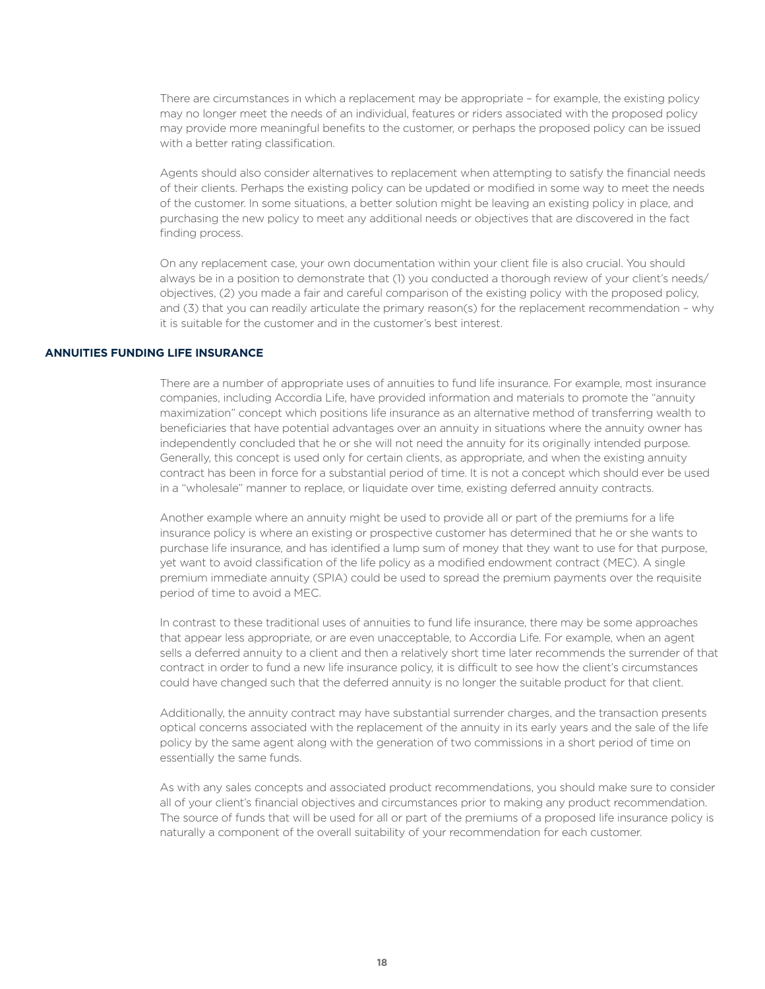There are circumstances in which a replacement may be appropriate – for example, the existing policy may no longer meet the needs of an individual, features or riders associated with the proposed policy may provide more meaningful benefits to the customer, or perhaps the proposed policy can be issued with a better rating classification.

Agents should also consider alternatives to replacement when attempting to satisfy the financial needs of their clients. Perhaps the existing policy can be updated or modified in some way to meet the needs of the customer. In some situations, a better solution might be leaving an existing policy in place, and purchasing the new policy to meet any additional needs or objectives that are discovered in the fact finding process.

On any replacement case, your own documentation within your client file is also crucial. You should always be in a position to demonstrate that (1) you conducted a thorough review of your client's needs/ objectives, (2) you made a fair and careful comparison of the existing policy with the proposed policy, and (3) that you can readily articulate the primary reason(s) for the replacement recommendation - why it is suitable for the customer and in the customer's best interest.

#### **ANNUITIES FUNDING LIFE INSURANCE**

There are a number of appropriate uses of annuities to fund life insurance. For example, most insurance companies, including Accordia Life, have provided information and materials to promote the "annuity maximization" concept which positions life insurance as an alternative method of transferring wealth to beneficiaries that have potential advantages over an annuity in situations where the annuity owner has independently concluded that he or she will not need the annuity for its originally intended purpose. Generally, this concept is used only for certain clients, as appropriate, and when the existing annuity contract has been in force for a substantial period of time. It is not a concept which should ever be used in a "wholesale" manner to replace, or liquidate over time, existing deferred annuity contracts.

Another example where an annuity might be used to provide all or part of the premiums for a life insurance policy is where an existing or prospective customer has determined that he or she wants to purchase life insurance, and has identified a lump sum of money that they want to use for that purpose, yet want to avoid classification of the life policy as a modified endowment contract (MEC). A single premium immediate annuity (SPIA) could be used to spread the premium payments over the requisite period of time to avoid a MEC.

In contrast to these traditional uses of annuities to fund life insurance, there may be some approaches that appear less appropriate, or are even unacceptable, to Accordia Life. For example, when an agent sells a deferred annuity to a client and then a relatively short time later recommends the surrender of that contract in order to fund a new life insurance policy, it is difficult to see how the client's circumstances could have changed such that the deferred annuity is no longer the suitable product for that client.

Additionally, the annuity contract may have substantial surrender charges, and the transaction presents optical concerns associated with the replacement of the annuity in its early years and the sale of the life policy by the same agent along with the generation of two commissions in a short period of time on essentially the same funds.

As with any sales concepts and associated product recommendations, you should make sure to consider all of your client's financial objectives and circumstances prior to making any product recommendation. The source of funds that will be used for all or part of the premiums of a proposed life insurance policy is naturally a component of the overall suitability of your recommendation for each customer.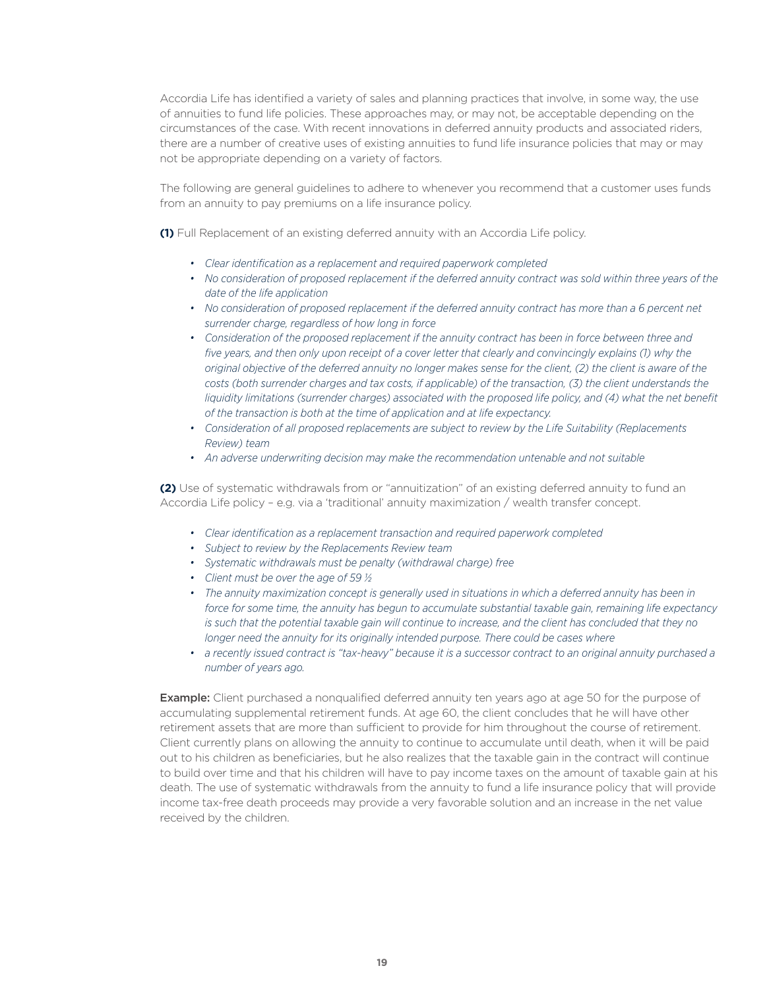Accordia Life has identified a variety of sales and planning practices that involve, in some way, the use of annuities to fund life policies. These approaches may, or may not, be acceptable depending on the circumstances of the case. With recent innovations in deferred annuity products and associated riders, there are a number of creative uses of existing annuities to fund life insurance policies that may or may not be appropriate depending on a variety of factors.

The following are general guidelines to adhere to whenever you recommend that a customer uses funds from an annuity to pay premiums on a life insurance policy.

**(1)** Full Replacement of an existing deferred annuity with an Accordia Life policy.

- *• Clear identification as a replacement and required paperwork completed*
- *• No consideration of proposed replacement if the deferred annuity contract was sold within three years of the date of the life application*
- No consideration of proposed replacement if the deferred annuity contract has more than a 6 percent net *surrender charge, regardless of how long in force*
- *• Consideration of the proposed replacement if the annuity contract has been in force between three and five years, and then only upon receipt of a cover letter that clearly and convincingly explains (1) why the original objective of the deferred annuity no longer makes sense for the client, (2) the client is aware of the costs (both surrender charges and tax costs, if applicable) of the transaction, (3) the client understands the liquidity limitations (surrender charges) associated with the proposed life policy, and (4) what the net benefit of the transaction is both at the time of application and at life expectancy.*
- *• Consideration of all proposed replacements are subject to review by the Life Suitability (Replacements Review) team*
- *• An adverse underwriting decision may make the recommendation untenable and not suitable*

**(2)** Use of systematic withdrawals from or "annuitization" of an existing deferred annuity to fund an Accordia Life policy – e.g. via a 'traditional' annuity maximization / wealth transfer concept.

- *• Clear identification as a replacement transaction and required paperwork completed*
- *• Subject to review by the Replacements Review team*
- *• Systematic withdrawals must be penalty (withdrawal charge) free*
- *• Client must be over the age of 59 ½*
- *• The annuity maximization concept is generally used in situations in which a deferred annuity has been in force for some time, the annuity has begun to accumulate substantial taxable gain, remaining life expectancy is such that the potential taxable gain will continue to increase, and the client has concluded that they no longer need the annuity for its originally intended purpose. There could be cases where*
- *• a recently issued contract is "tax-heavy" because it is a successor contract to an original annuity purchased a number of years ago.*

**Example:** Client purchased a nonqualified deferred annuity ten years ago at age 50 for the purpose of accumulating supplemental retirement funds. At age 60, the client concludes that he will have other retirement assets that are more than sufficient to provide for him throughout the course of retirement. Client currently plans on allowing the annuity to continue to accumulate until death, when it will be paid out to his children as beneficiaries, but he also realizes that the taxable gain in the contract will continue to build over time and that his children will have to pay income taxes on the amount of taxable gain at his death. The use of systematic withdrawals from the annuity to fund a life insurance policy that will provide income tax-free death proceeds may provide a very favorable solution and an increase in the net value received by the children.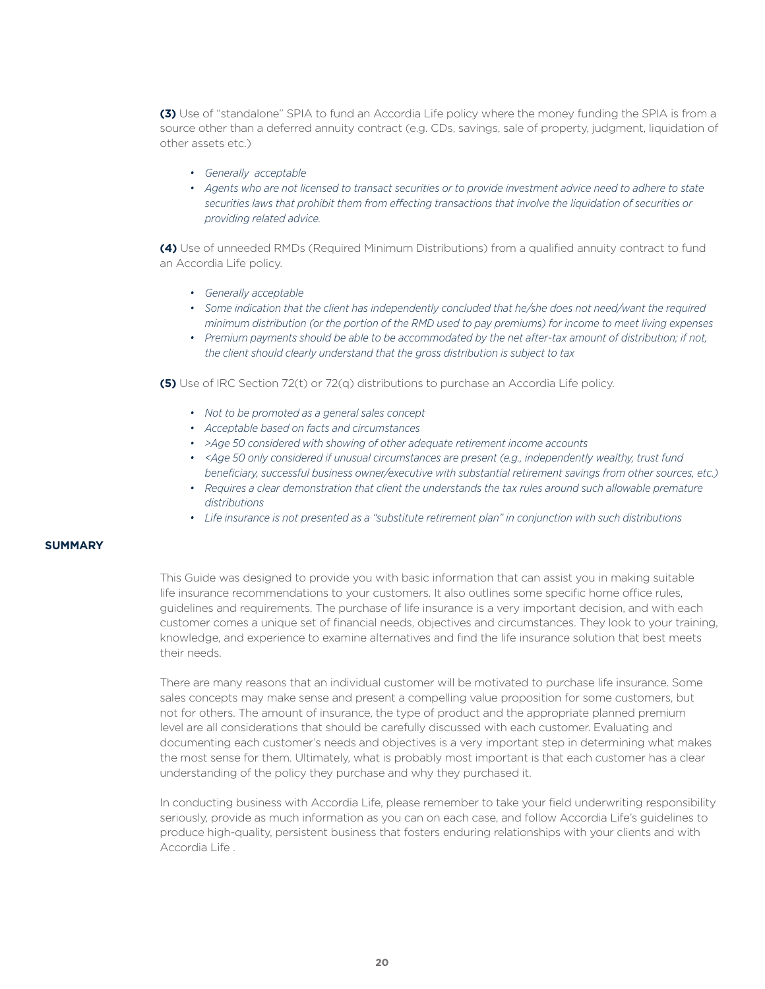**(3)** Use of "standalone" SPIA to fund an Accordia Life policy where the money funding the SPIA is from a source other than a deferred annuity contract (e.g. CDs, savings, sale of property, judgment, liquidation of other assets etc.)

- *• Generally acceptable*
- *• Agents who are not licensed to transact securities or to provide investment advice need to adhere to state securities laws that prohibit them from effecting transactions that involve the liquidation of securities or providing related advice.*

**(4)** Use of unneeded RMDs (Required Minimum Distributions) from a qualified annuity contract to fund an Accordia Life policy.

- *• Generally acceptable*
- *• Some indication that the client has independently concluded that he/she does not need/want the required minimum distribution (or the portion of the RMD used to pay premiums) for income to meet living expenses*
- *• Premium payments should be able to be accommodated by the net after-tax amount of distribution; if not, the client should clearly understand that the gross distribution is subject to tax*

**(5)** Use of IRC Section 72(t) or 72(q) distributions to purchase an Accordia Life policy.

- *• Not to be promoted as a general sales concept*
- *• Acceptable based on facts and circumstances*
- *• >Age 50 considered with showing of other adequate retirement income accounts*
- *• <Age 50 only considered if unusual circumstances are present (e.g., independently wealthy, trust fund beneficiary, successful business owner/executive with substantial retirement savings from other sources, etc.)*
- Requires a clear demonstration that client the understands the tax rules around such allowable premature *distributions*
- *• Life insurance is not presented as a "substitute retirement plan" in conjunction with such distributions*

# **SUMMARY**

This Guide was designed to provide you with basic information that can assist you in making suitable life insurance recommendations to your customers. It also outlines some specific home office rules, guidelines and requirements. The purchase of life insurance is a very important decision, and with each customer comes a unique set of financial needs, objectives and circumstances. They look to your training, knowledge, and experience to examine alternatives and find the life insurance solution that best meets their needs.

There are many reasons that an individual customer will be motivated to purchase life insurance. Some sales concepts may make sense and present a compelling value proposition for some customers, but not for others. The amount of insurance, the type of product and the appropriate planned premium level are all considerations that should be carefully discussed with each customer. Evaluating and documenting each customer's needs and objectives is a very important step in determining what makes the most sense for them. Ultimately, what is probably most important is that each customer has a clear understanding of the policy they purchase and why they purchased it.

In conducting business with Accordia Life, please remember to take your field underwriting responsibility seriously, provide as much information as you can on each case, and follow Accordia Life's guidelines to produce high-quality, persistent business that fosters enduring relationships with your clients and with Accordia Life .